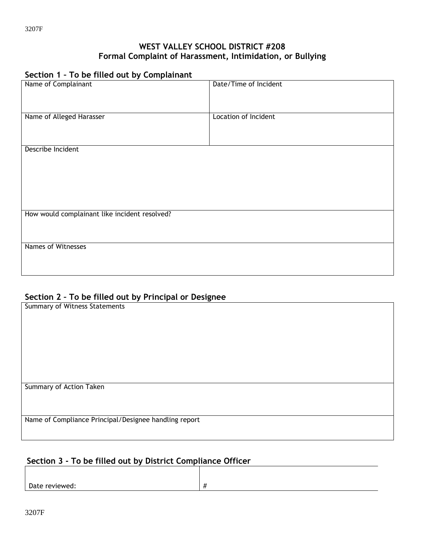### **WEST VALLEY SCHOOL DISTRICT #208 Formal Complaint of Harassment, Intimidation, or Bullying**

# **Section 1 – To be filled out by Complainant**

| Name of Complainant                           | Date/Time of Incident |
|-----------------------------------------------|-----------------------|
|                                               |                       |
| Name of Alleged Harasser                      | Location of Incident  |
|                                               |                       |
| Describe Incident                             |                       |
|                                               |                       |
|                                               |                       |
|                                               |                       |
| How would complainant like incident resolved? |                       |
|                                               |                       |
| Names of Witnesses                            |                       |
|                                               |                       |

## **Section 2 – To be filled out by Principal or Designee**

| ັ                                                     |
|-------------------------------------------------------|
| <b>Summary of Witness Statements</b>                  |
|                                                       |
|                                                       |
|                                                       |
|                                                       |
|                                                       |
|                                                       |
|                                                       |
|                                                       |
|                                                       |
|                                                       |
|                                                       |
| Summary of Action Taken                               |
|                                                       |
|                                                       |
|                                                       |
|                                                       |
| Name of Compliance Principal/Designee handling report |
|                                                       |
|                                                       |

## **Section 3 - To be filled out by District Compliance Officer**

Date reviewed:  $\left| \# \right|$